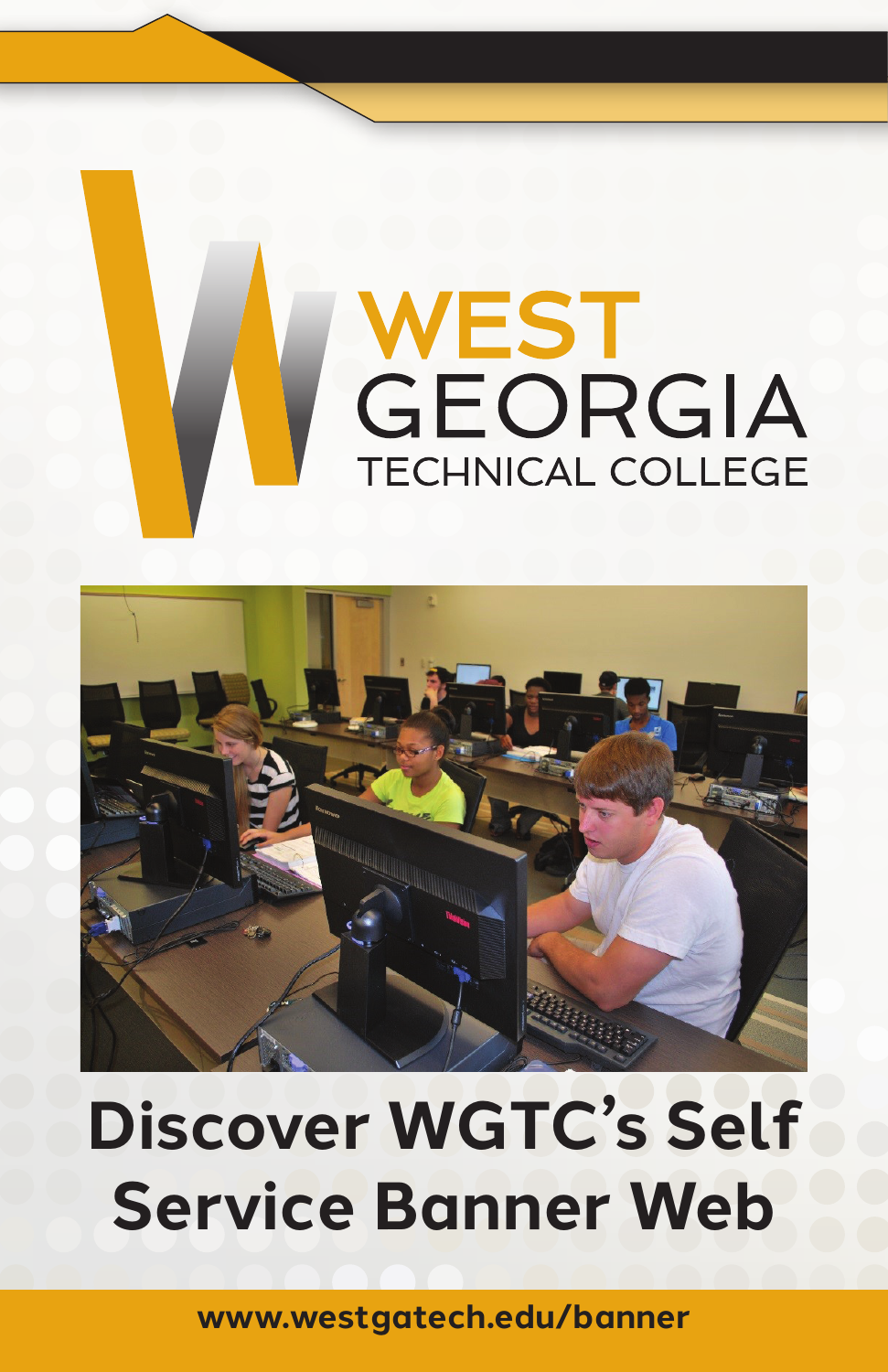



# **Discover WGTC's Self Service Banner Web**

**www.westgatech.edu/banner**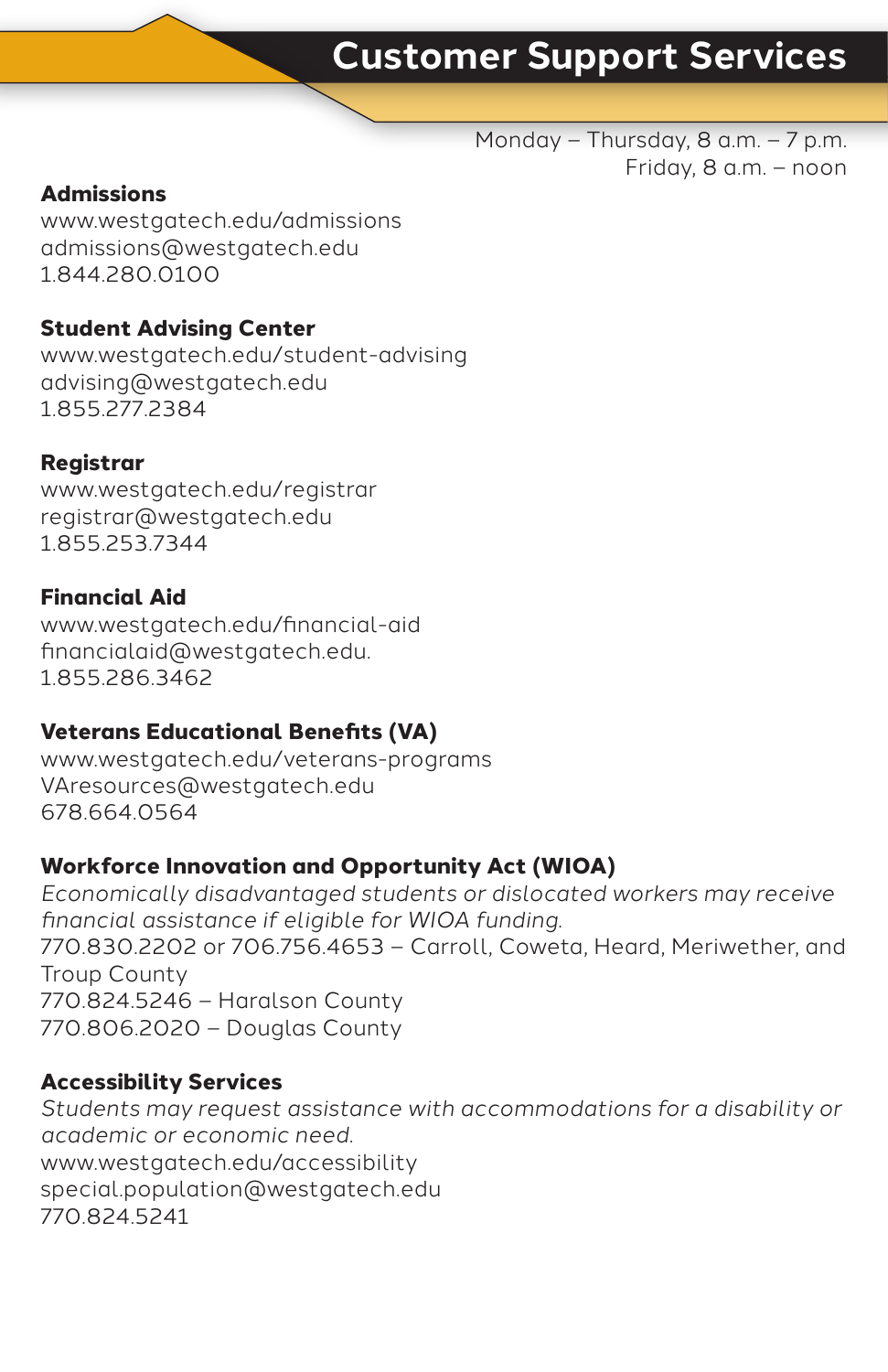## **Customer Support Services**

Monday – Thursday, 8 a.m. – 7 p.m. Friday, 8 a.m. – noon

#### **Admissions**

www.westgatech.edu/admissions admissions@westgatech.edu 1.844.280.0100

#### **Student Advising Center**

www.westgatech.edu/student-advising advising@westgatech.edu 1.855.277.2384

#### **Registrar**

www.westgatech.edu/registrar registrar@westgatech.edu 1.855.253.7344

#### **Financial Aid**

www.westgatech.edu/financial-aid financialaid@westgatech.edu. 1.855.286.3462

#### **Veterans Educational Benefits (VA)**

www.westgatech.edu/veterans-programs VAresources@westgatech.edu 678.664.0564

#### **Workforce Innovation and Opportunity Act (WIOA)**

*Economically disadvantaged students or dislocated workers may receive financial assistance if eligible for WIOA funding.* 770.830.2202 or 706.756.4653 – Carroll, Coweta, Heard, Meriwether, and Troup County 770.824.5246 – Haralson County 770.806.2020 – Douglas County

#### **Accessibility Services**

*Students may request assistance with accommodations for a disability or academic or economic need.*  www.westgatech.edu/accessibility special.population@westgatech.edu 770.824.5241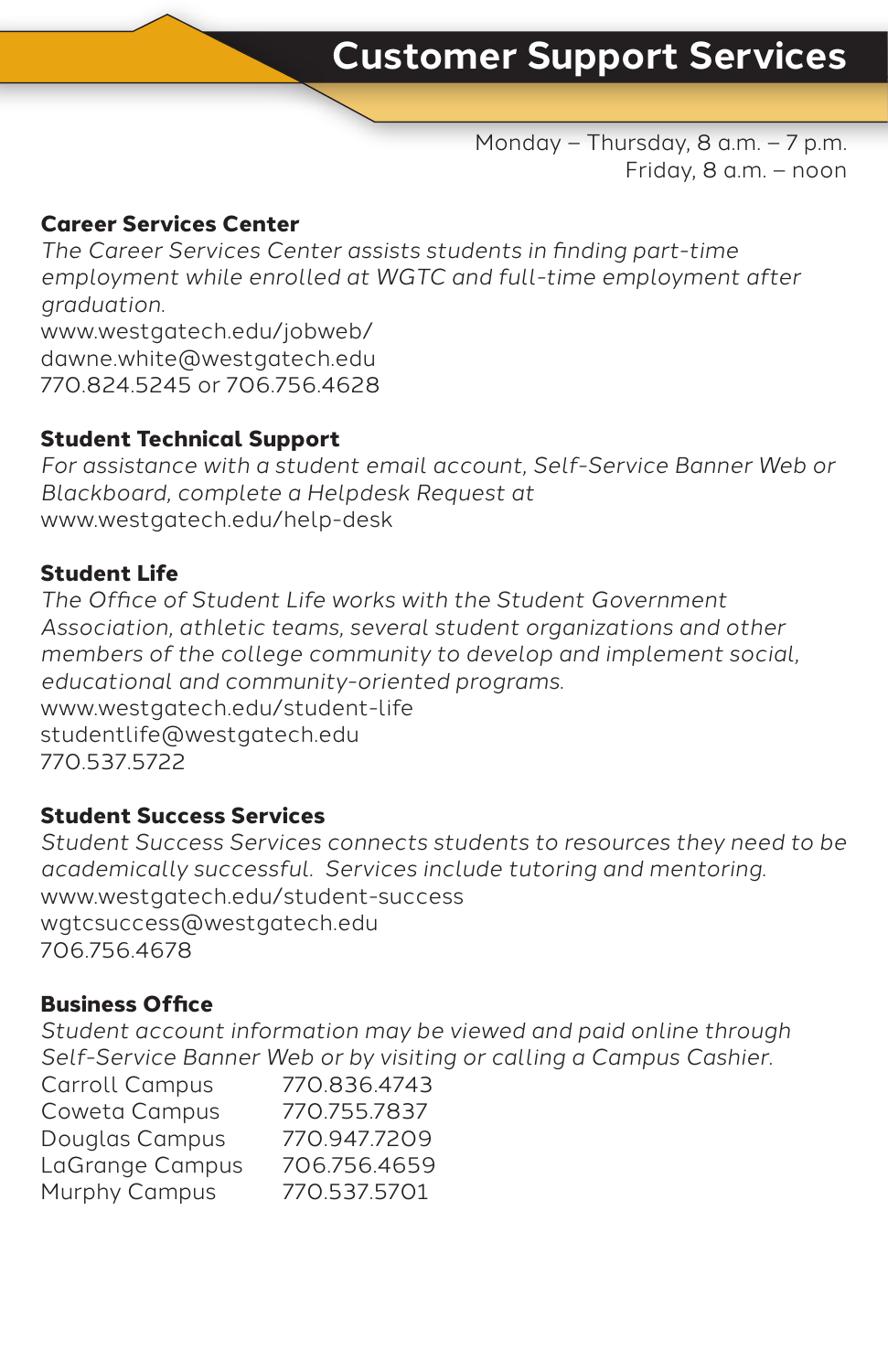Monday – Thursday, 8 a.m. – 7 p.m. Friday, 8 a.m. – noon

#### **Career Services Center**

*The Career Services Center assists students in finding part-time employment while enrolled at WGTC and full-time employment after graduation.* www.westgatech.edu/jobweb/ dawne.white@westgatech.edu 770.824.5245 or 706.756.4628

#### **Student Technical Support**

*For assistance with a student email account, Self-Service Banner Web or Blackboard, complete a Helpdesk Request at*  www.westgatech.edu/help-desk

#### **Student Life**

*The Office of Student Life works with the Student Government Association, athletic teams, several student organizations and other members of the college community to develop and implement social, educational and community-oriented programs.*  www.westgatech.edu/student-life studentlife@westgatech.edu 770.537.5722

#### **Student Success Services**

*Student Success Services connects students to resources they need to be academically successful. Services include tutoring and mentoring.* www.westgatech.edu/student-success wgtcsuccess@westgatech.edu 706.756.4678

#### **Business Office**

*Student account information may be viewed and paid online through Self-Service Banner Web or by visiting or calling a Campus Cashier.*

| Carroll Campus  | 770.836.4743 |
|-----------------|--------------|
| Coweta Campus   | 770.755.7837 |
| Douglas Campus  | 770.947.7209 |
| LaGrange Campus | 706.756.4659 |
| Murphy Campus   | 770.537.5701 |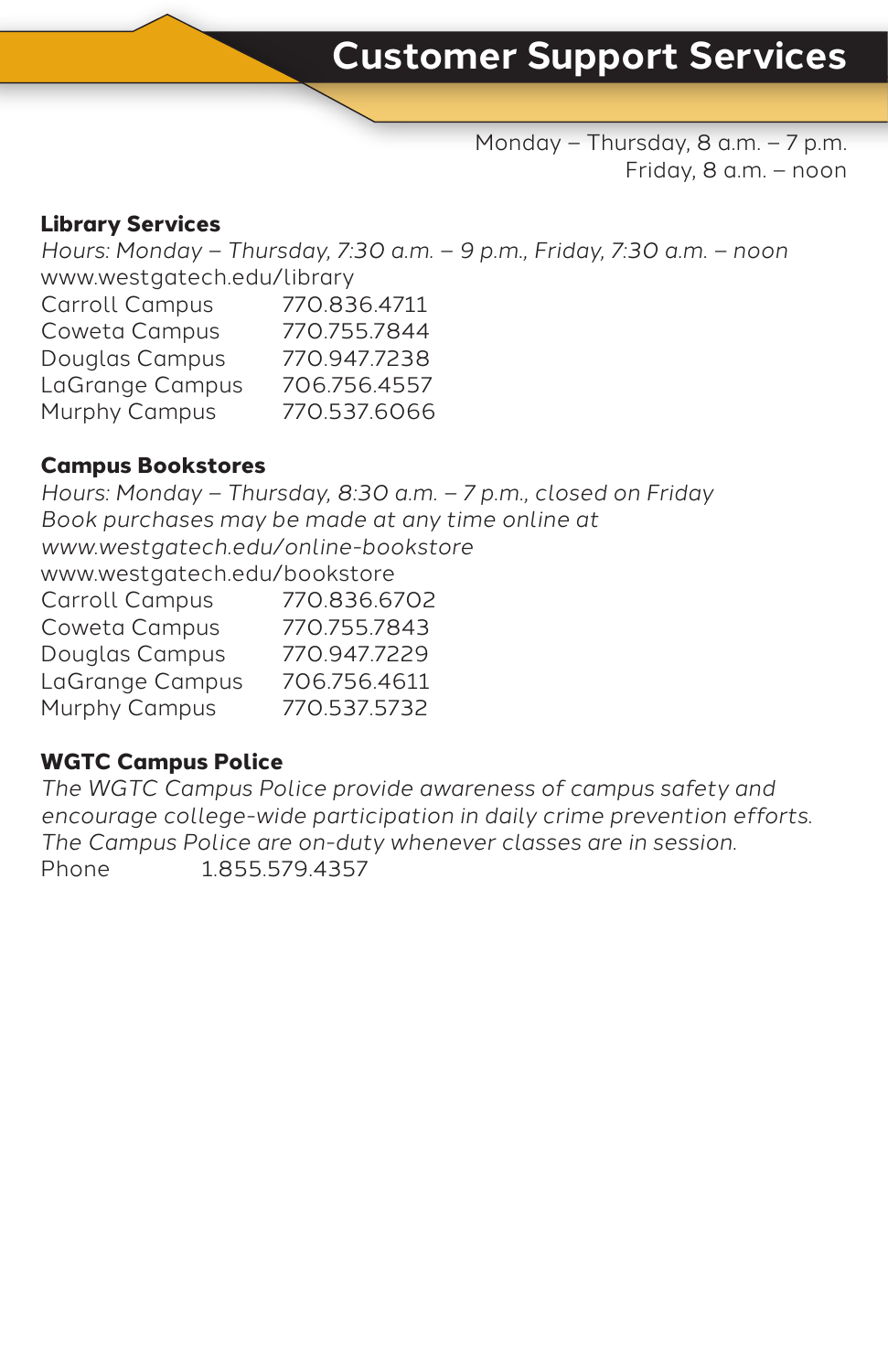Monday – Thursday, 8 a.m. – 7 p.m. Friday, 8 a.m. – noon

#### **Library Services**

*Hours: Monday – Thursday, 7:30 a.m. – 9 p.m., Friday, 7:30 a.m. – noon* www.westgatech.edu/library Carroll Campus 770.836.4711 Coweta Campus 770.755.7844 Douglas Campus 770.947.7238 LaGrange Campus 706.756.4557 Murphy Campus 770.537.6066

#### **Campus Bookstores**

*Hours: Monday – Thursday, 8:30 a.m. – 7 p.m., closed on Friday Book purchases may be made at any time online at www.westgatech.edu/online-bookstore* www.westgatech.edu/bookstore Carroll Campus 770.836.6702 Coweta Campus 770.755.7843 Douglas Campus 770.947.7229 LaGrange Campus 706.756.4611 Murphy Campus 770.537.5732

#### **WGTC Campus Police**

*The WGTC Campus Police provide awareness of campus safety and encourage college-wide participation in daily crime prevention efforts. The Campus Police are on-duty whenever classes are in session.* Phone 1.855.579.4357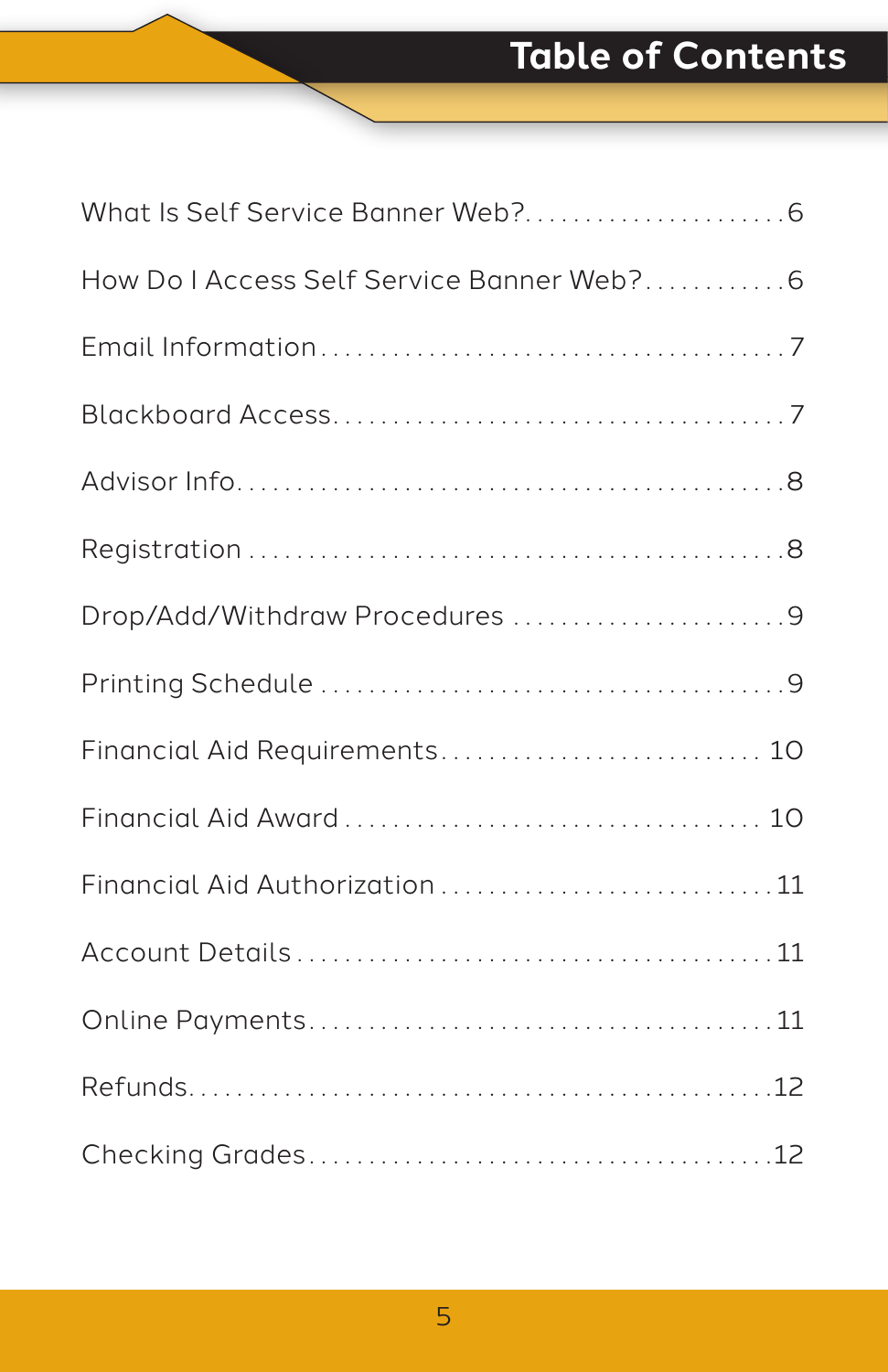# **Table of Contents**

| How Do I Access Self Service Banner Web?6 |
|-------------------------------------------|
|                                           |
|                                           |
|                                           |
|                                           |
| Drop/Add/Withdraw Procedures 9            |
|                                           |
| Financial Aid Requirements 10             |
|                                           |
| Financial Aid Authorization 11            |
|                                           |
|                                           |
|                                           |
|                                           |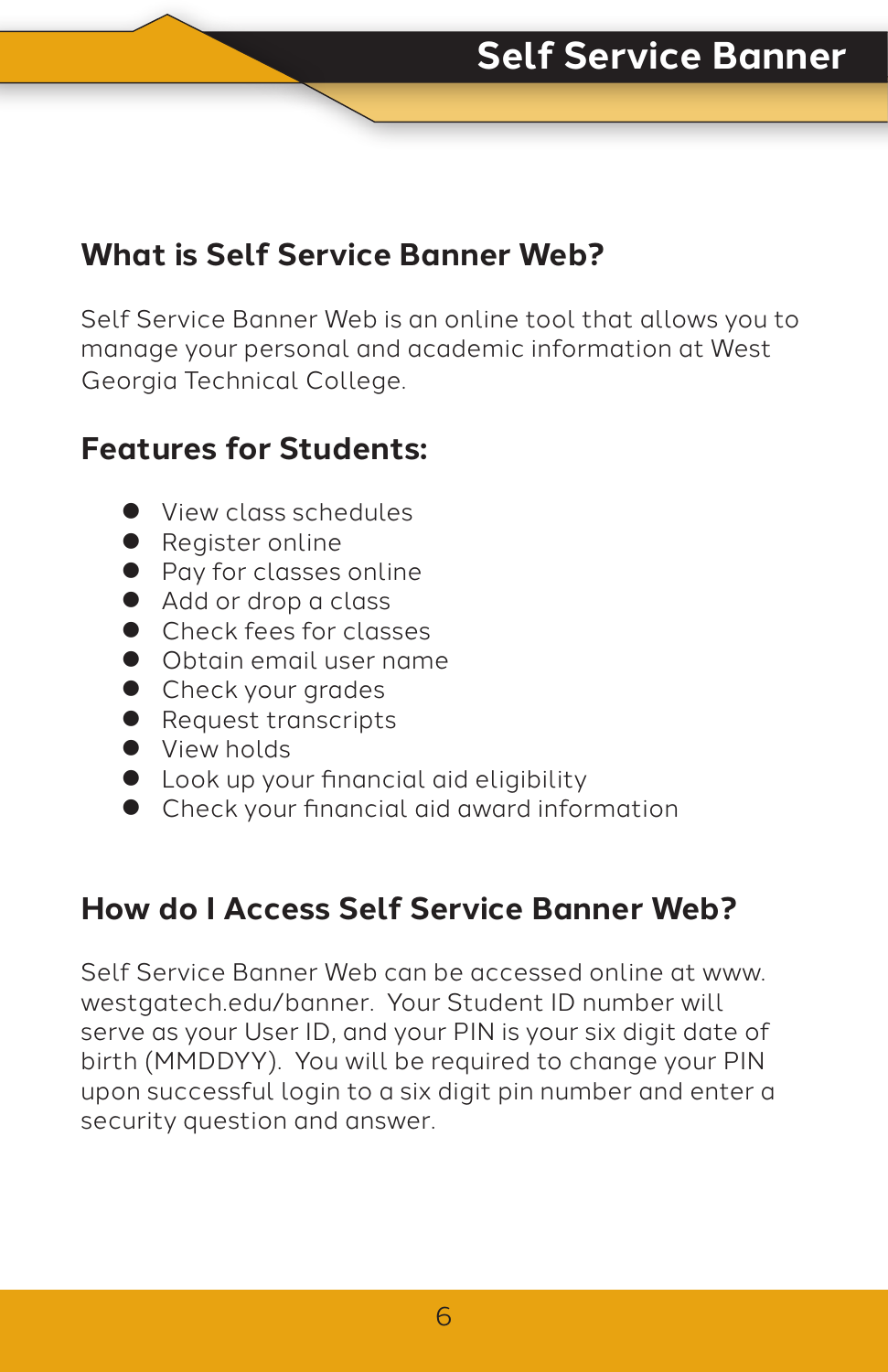### **What is Self Service Banner Web?**

Self Service Banner Web is an online tool that allows you to manage your personal and academic information at West Georgia Technical College.

### **Features for Students:**

- **View class schedules**
- Register online
- Pay for classes online
- Add or drop a class
- **Check fees for classes**
- **Obtain email user name**
- **Check your grades**
- **•** Request transcripts
- View holds
- **•** Look up your financial aid eligibility
- Check your financial aid award information

### **How do I Access Self Service Banner Web?**

Self Service Banner Web can be accessed online at www. westgatech.edu/banner. Your Student ID number will serve as your User ID, and your PIN is your six digit date of birth (MMDDYY). You will be required to change your PIN upon successful login to a six digit pin number and enter a security question and answer.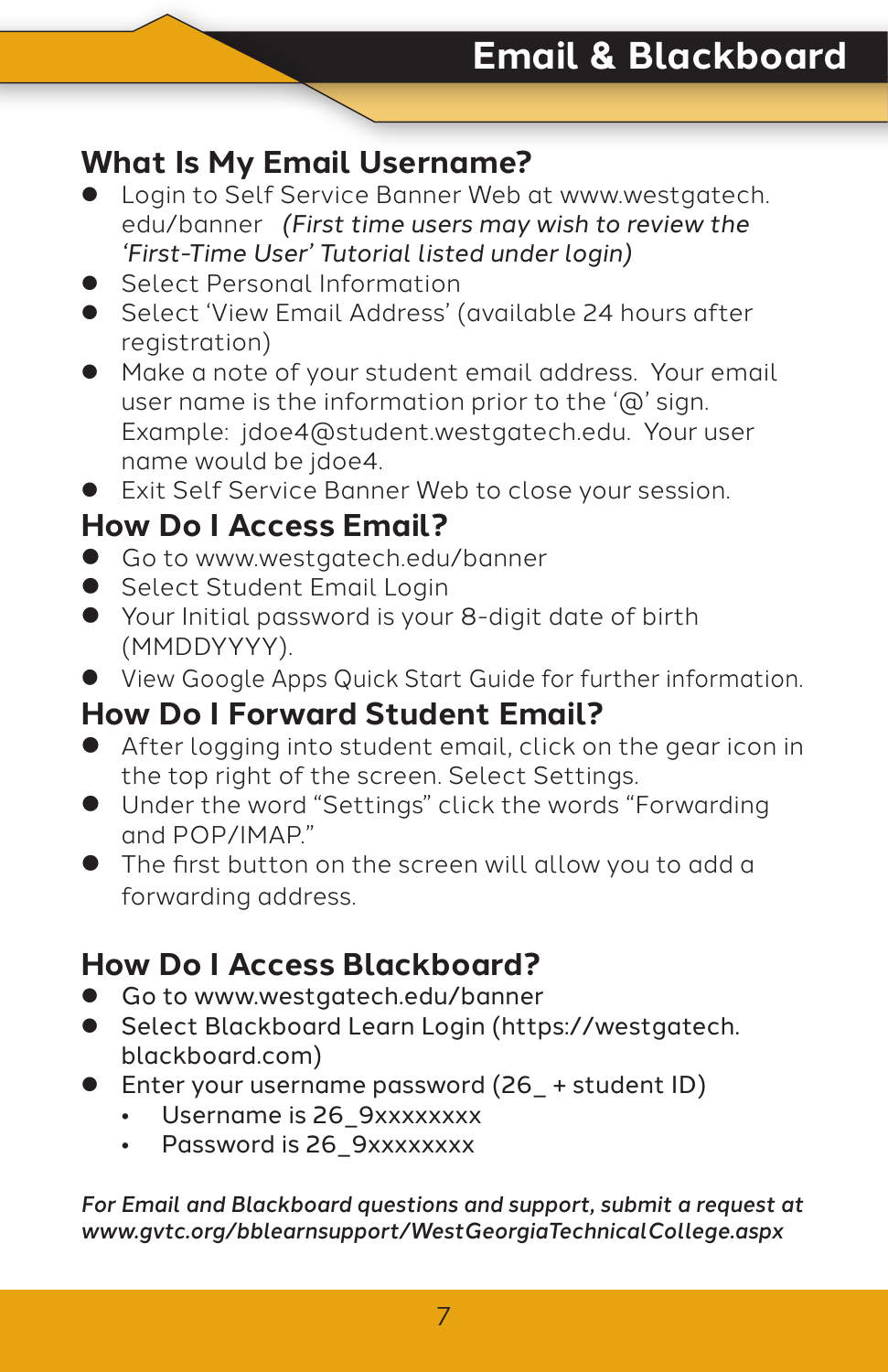### **What Is My Email Username?**

- Login to Self Service Banner Web at www.westgatech. edu/banner *(First time users may wish to review the 'First-Time User' Tutorial listed under login)*
- **•** Select Personal Information
- **•** Select 'View Email Address' (available 24 hours after registration)
- $\bullet$  Make a note of your student email address. Your email user name is the information prior to the '@' sign. Example: jdoe4@student.westgatech.edu. Your user name would be jdoe4.
- **•** Exit Self Service Banner Web to close your session.

### **How Do I Access Email?**

- **•** Go to www.westgatech.edu/banner
- Select Student Email Login
- Your Initial password is your 8-digit date of birth (MMDDYYYY).
- **View Google Apps Quick Start Guide for further information.**

#### **How Do I Forward Student Email?**

- **•** After logging into student email, click on the gear icon in the top right of the screen. Select Settings.
- **•** Under the word "Settings" click the words "Forwarding and POP/IMAP."
- The first button on the screen will allow you to add a forwarding address.

### **How Do I Access Blackboard?**

- Go to www.westgatech.edu/banner
- **•** Select Blackboard Learn Login (https://westgatech. blackboard.com)
- Enter your username password (26\_+ student ID)
	- Username is 26 9xxxxxxxx
	- Password is 26 9xxxxxxxx

*For Email and Blackboard questions and support, submit a request at www.gvtc.org/bblearnsupport/WestGeorgiaTechnicalCollege.aspx*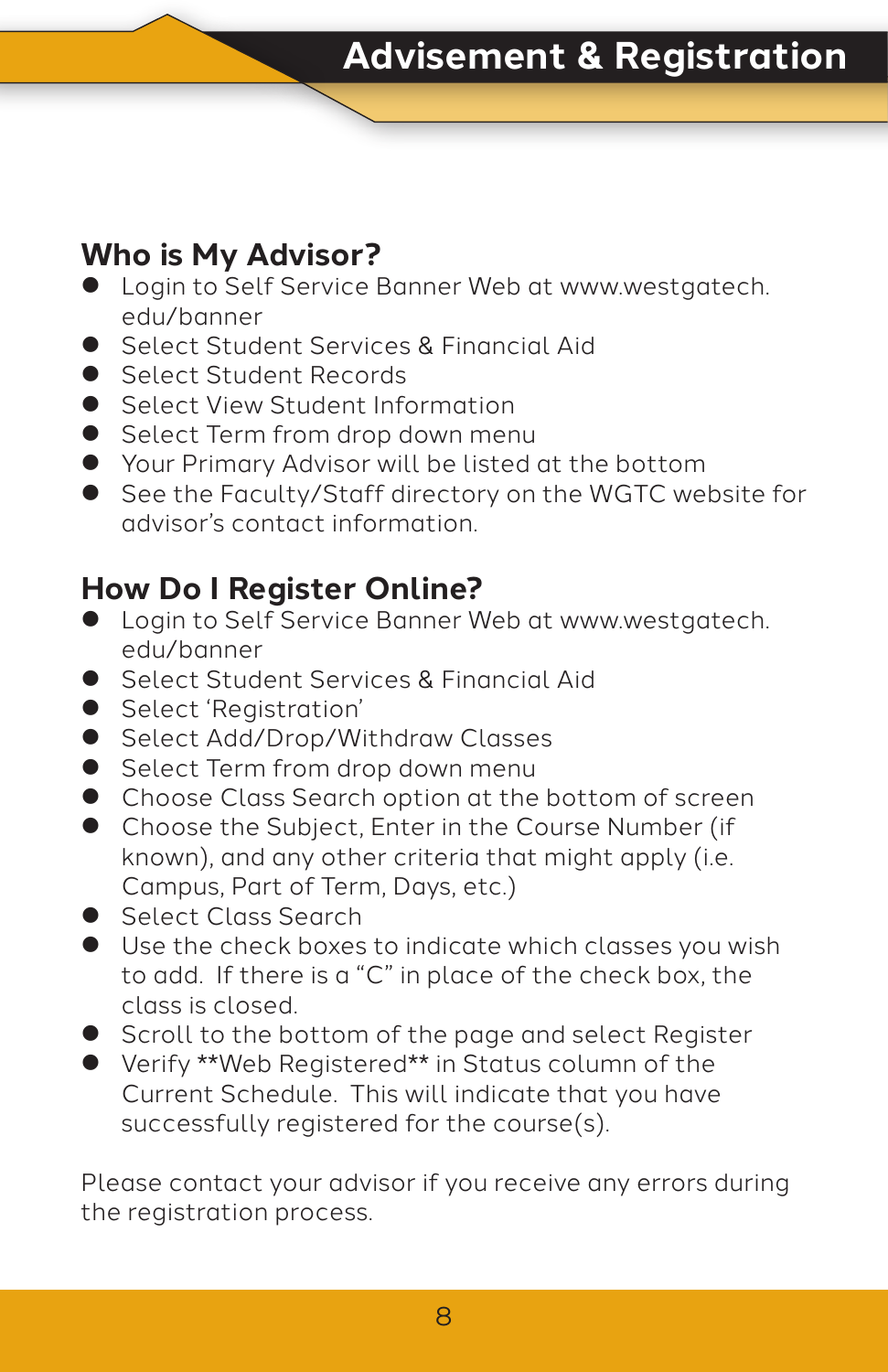### **Who is My Advisor?**

- **•** Login to Self Service Banner Web at www.westgatech. edu/banner
- Select Student Services & Financial Aid
- Select Student Records
- Select View Student Information
- Select Term from drop down menu
- Your Primary Advisor will be listed at the bottom
- See the Faculty/Staff directory on the WGTC website for advisor's contact information.

### **How Do I Register Online?**

- **•** Login to Self Service Banner Web at www.westgatech. edu/banner
- Select Student Services & Financial Aid
- Select 'Registration'
- Select Add/Drop/Withdraw Classes
- Select Term from drop down menu
- Choose Class Search option at the bottom of screen
- Choose the Subject, Enter in the Course Number (if known), and any other criteria that might apply (i.e. Campus, Part of Term, Days, etc.)
- Select Class Search
- **•** Use the check boxes to indicate which classes you wish to add. If there is a "C" in place of the check box, the class is closed.
- Scroll to the bottom of the page and select Register
- Verify \*\*Web Registered\*\* in Status column of the Current Schedule. This will indicate that you have successfully registered for the course(s).

Please contact your advisor if you receive any errors during the registration process.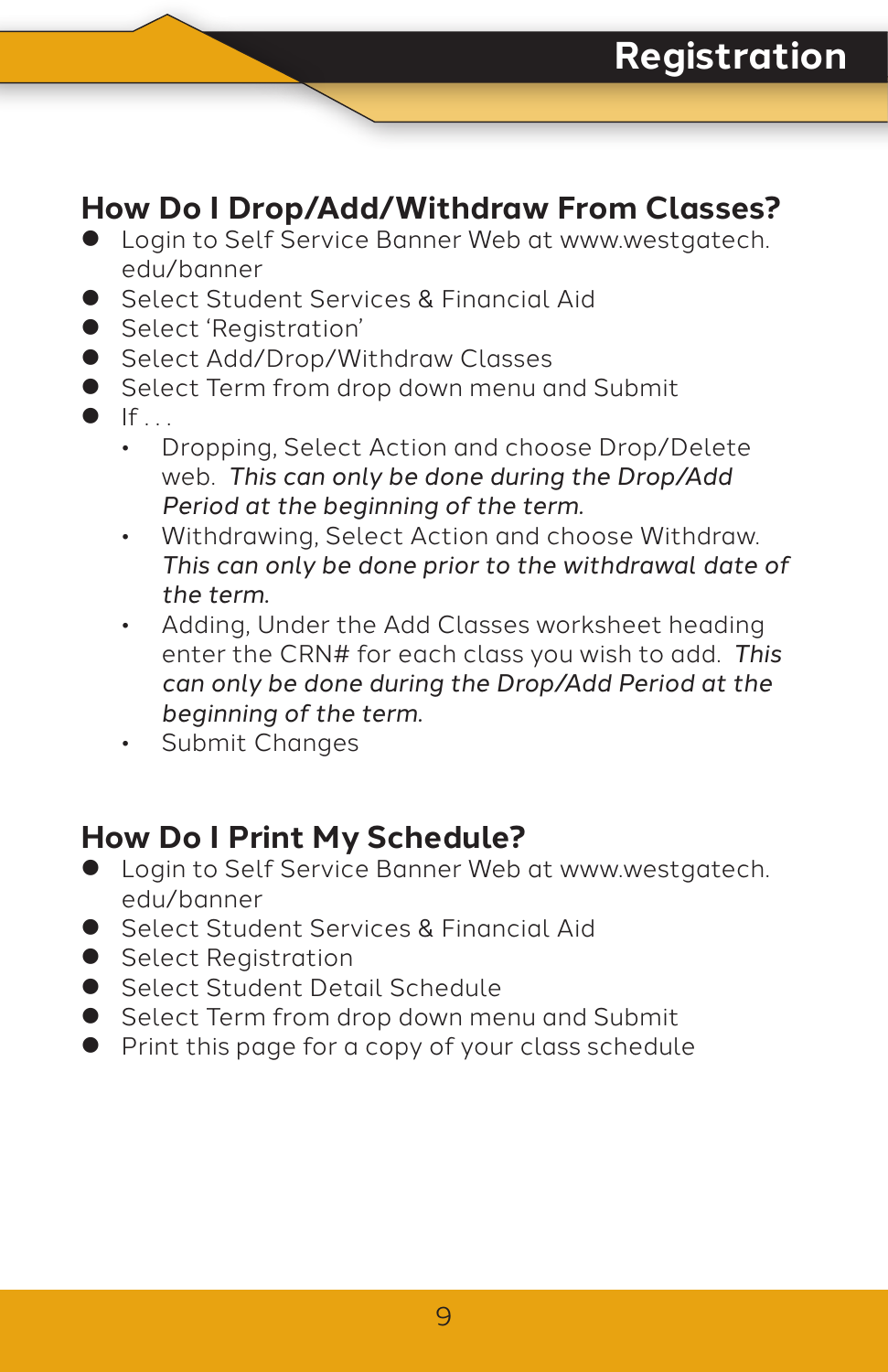### **How Do I Drop/Add/Withdraw From Classes?**

- **Login to Self Service Banner Web at www.westgatech.** edu/banner
- Select Student Services & Financial Aid
- Select 'Registration'
- Select Add/Drop/Withdraw Classes
- Select Term from drop down menu and Submit
- $\bullet$  If  $\bullet$ 
	- Dropping, Select Action and choose Drop/Delete web. *This can only be done during the Drop/Add Period at the beginning of the term.*
	- Withdrawing, Select Action and choose Withdraw. *This can only be done prior to the withdrawal date of the term.*
	- Adding, Under the Add Classes worksheet heading enter the CRN# for each class you wish to add. *This can only be done during the Drop/Add Period at the beginning of the term.*
	- Submit Changes

### **How Do I Print My Schedule?**

- $\bullet$  Login to Self Service Banner Web at www.westgatech. edu/banner
- Select Student Services & Financial Aid
- Select Registration
- Select Student Detail Schedule
- Select Term from drop down menu and Submit
- Print this page for a copy of your class schedule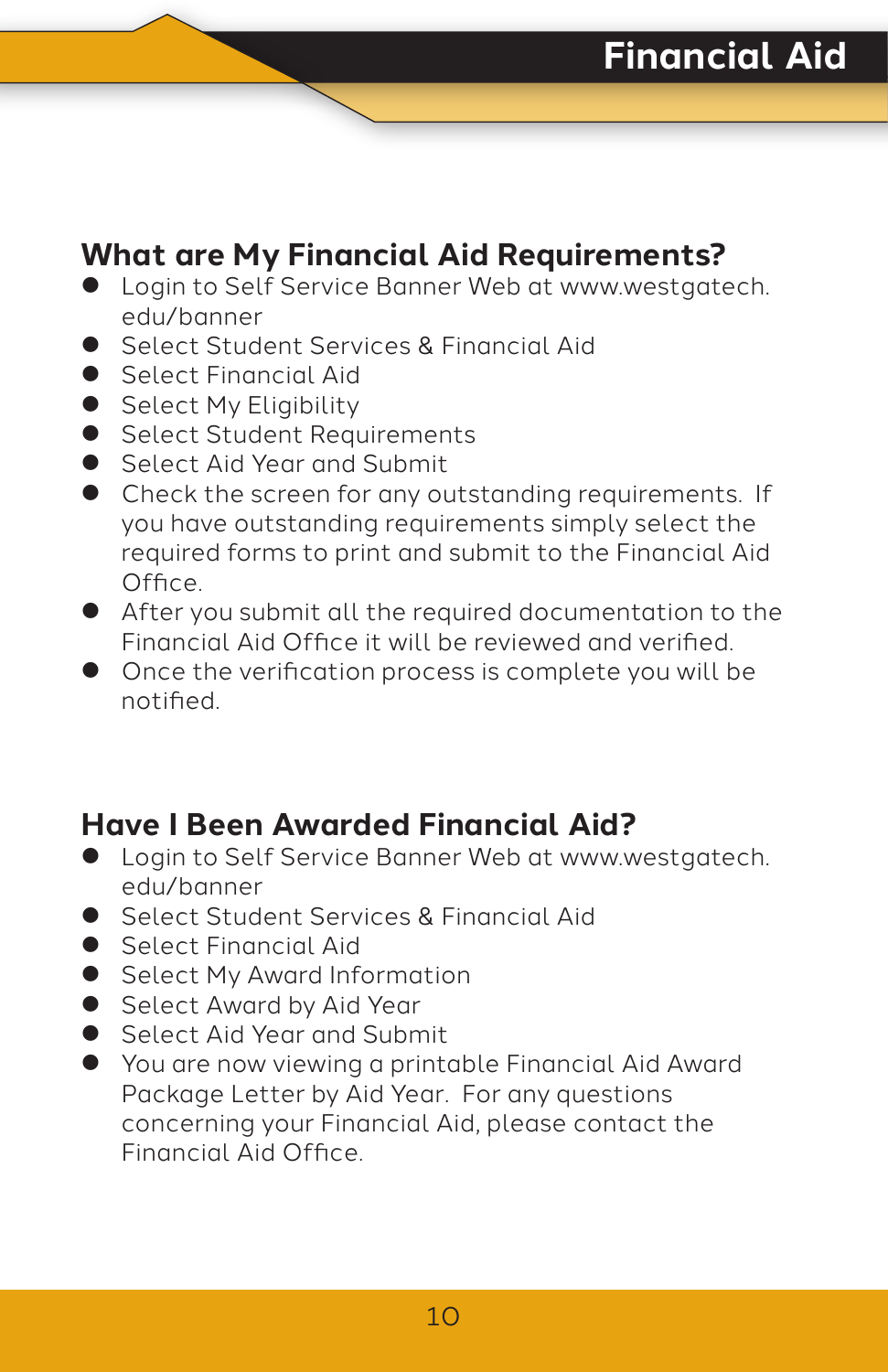### **What are My Financial Aid Requirements?**

- **•** Login to Self Service Banner Web at www.westgatech. edu/banner
- Select Student Services & Financial Aid
- **Select Financial Aid**
- Select My Eligibility
- Select Student Requirements
- **•** Select Aid Year and Submit
- $\bullet$  Check the screen for any outstanding requirements. If you have outstanding requirements simply select the required forms to print and submit to the Financial Aid Office.
- **•** After you submit all the required documentation to the Financial Aid Office it will be reviewed and verified.
- $\bullet$  Once the verification process is complete you will be notified.

### **Have I Been Awarded Financial Aid?**

- $\bullet$  Login to Self Service Banner Web at www.westgatech. edu/banner
- Select Student Services & Financial Aid
- Select Financial Aid
- Select My Award Information
- Select Award by Aid Year
- Select Aid Year and Submit
- You are now viewing a printable Financial Aid Award Package Letter by Aid Year. For any questions concerning your Financial Aid, please contact the Financial Aid Office.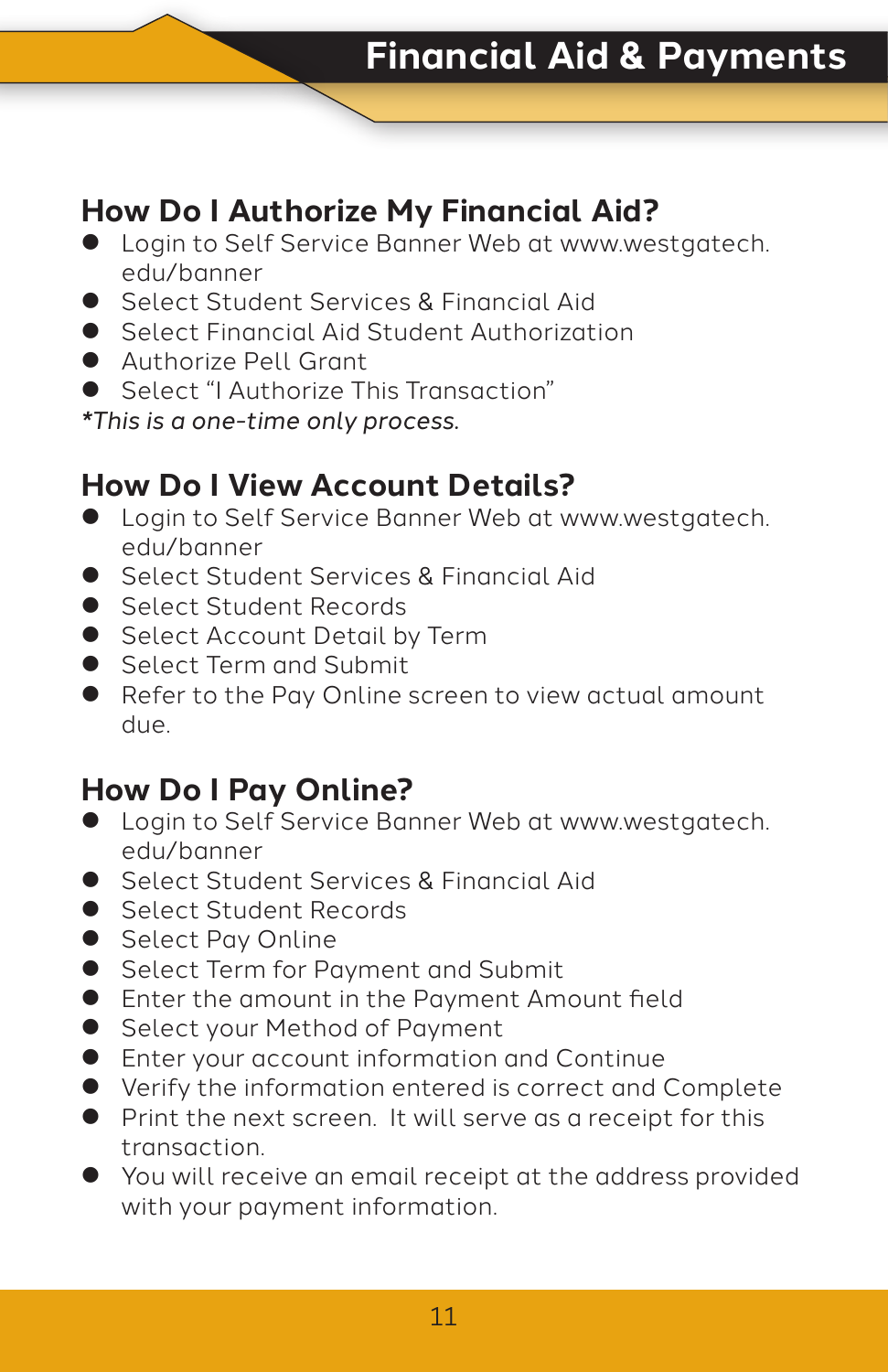### **How Do I Authorize My Financial Aid?**

- **•** Login to Self Service Banner Web at www.westgatech. edu/banner
- Select Student Services & Financial Aid
- Select Financial Aid Student Authorization
- **Authorize Pell Grant**
- Select "I Authorize This Transaction"

*\*This is a one-time only process.*

### **How Do I View Account Details?**

- **•** Login to Self Service Banner Web at www.westgatech. edu/banner
- Select Student Services & Financial Aid
- Select Student Records
- Select Account Detail by Term
- Select Term and Submit
- Refer to the Pay Online screen to view actual amount due.

### **How Do I Pay Online?**

- $\bullet$  Login to Self Service Banner Web at www.westgatech. edu/banner
- Select Student Services & Financial Aid
- Select Student Records
- Select Pay Online
- Select Term for Payment and Submit
- **•** Enter the amount in the Payment Amount field
- Select your Method of Payment
- **•** Enter your account information and Continue
- Verify the information entered is correct and Complete
- Print the next screen. It will serve as a receipt for this transaction.
- $\bullet$  You will receive an email receipt at the address provided with your payment information.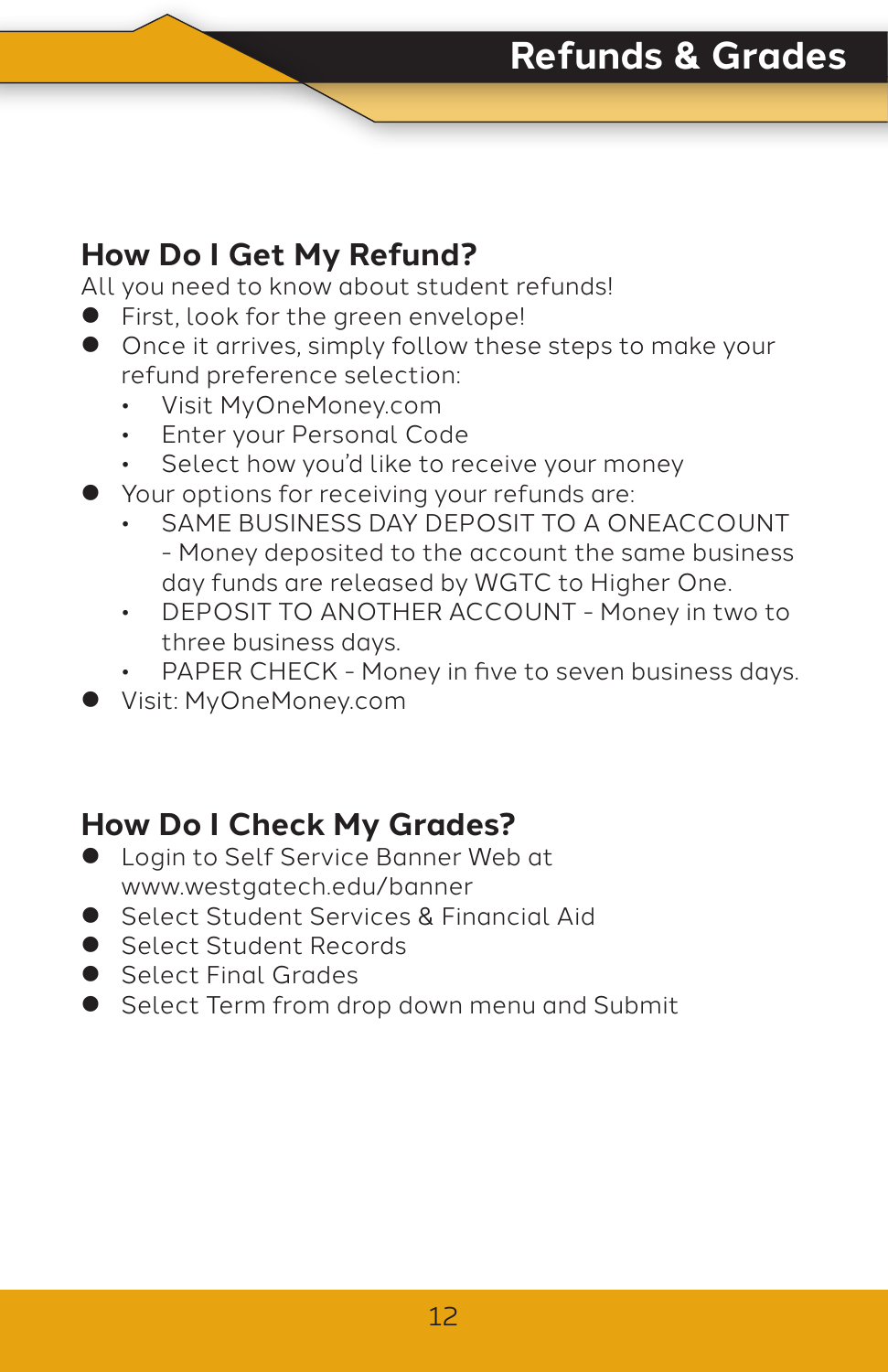### **How Do I Get My Refund?**

All you need to know about student refunds!

- First, look for the green envelope!
- Once it arrives, simply follow these steps to make your refund preference selection:
	- Visit MyOneMoney.com
	- Enter your Personal Code
	- Select how you'd like to receive your money
- **•** Your options for receiving your refunds are:
	- SAME BUSINESS DAY DEPOSIT TO A ONEACCOUNT - Money deposited to the account the same business day funds are released by WGTC to Higher One.
	- DEPOSIT TO ANOTHER ACCOUNT Money in two to three business days.
	- PAPER CHECK Money in five to seven business days.
- z Visit: MyOneMoney.com

### **How Do I Check My Grades?**

- **•** Login to Self Service Banner Web at www.westgatech.edu/banner
- Select Student Services & Financial Aid
- Select Student Records
- Select Final Grades
- Select Term from drop down menu and Submit